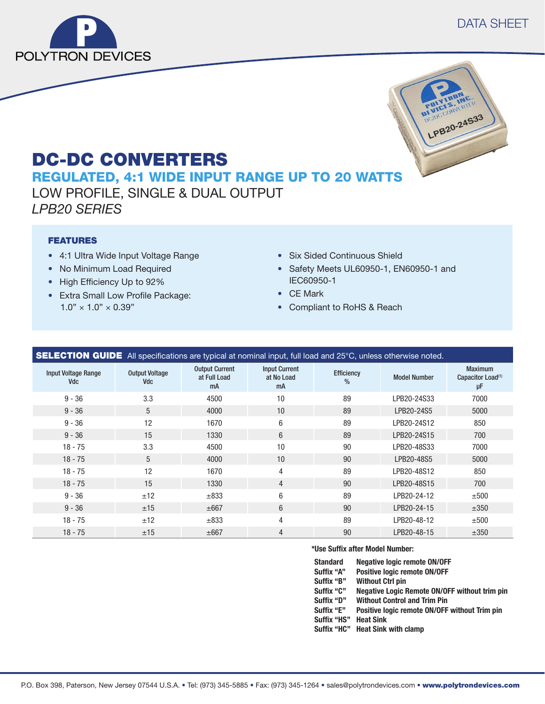



# DC-DC CONVERTERS

REGULATED, 4:1 WIDE INPUT RANGE UP TO 20 WATTS LOW PROFILE, SINGLE & DUAL OUTPUT *LPB20 SERIES*

### FEATURES

- 4:1 Ultra Wide Input Voltage Range
- No Minimum Load Required
- High Efficiency Up to 92%
- Extra Small Low Profile Package:  $1.0" \times 1.0" \times 0.39"$
- Six Sided Continuous Shield
- Safety Meets UL60950-1, EN60950-1 and IEC60950-1
- CE Mark
- Compliant to RoHS & Reach

| <b>SELECTION GUIDE</b> All specifications are typical at nominal input, full load and 25°C, unless otherwise noted. |                              |                                             |                                          |                             |                     |                                                       |
|---------------------------------------------------------------------------------------------------------------------|------------------------------|---------------------------------------------|------------------------------------------|-----------------------------|---------------------|-------------------------------------------------------|
| <b>Input Voltage Range</b><br><b>Vdc</b>                                                                            | <b>Output Voltage</b><br>Vdc | <b>Output Current</b><br>at Full Load<br>mA | <b>Input Current</b><br>at No Load<br>mA | Efficiency<br>$\frac{0}{0}$ | <b>Model Number</b> | <b>Maximum</b><br>Capacitor Load <sup>(1)</sup><br>μF |
| $9 - 36$                                                                                                            | 3.3                          | 4500                                        | 10                                       | 89                          | LPB20-24S33         | 7000                                                  |
| $9 - 36$                                                                                                            | 5                            | 4000                                        | 10                                       | 89                          | LPB20-24S5          | 5000                                                  |
| $9 - 36$                                                                                                            | 12                           | 1670                                        | 6                                        | 89                          | LPB20-24S12         | 850                                                   |
| $9 - 36$                                                                                                            | 15                           | 1330                                        | 6                                        | 89                          | LPB20-24S15         | 700                                                   |
| $18 - 75$                                                                                                           | 3.3                          | 4500                                        | 10                                       | 90                          | LPB20-48S33         | 7000                                                  |
| $18 - 75$                                                                                                           | 5                            | 4000                                        | 10                                       | 90                          | LPB20-48S5          | 5000                                                  |
| $18 - 75$                                                                                                           | 12                           | 1670                                        | $\overline{4}$                           | 89                          | LPB20-48S12         | 850                                                   |
| $18 - 75$                                                                                                           | 15                           | 1330                                        | $\overline{4}$                           | 90                          | LPB20-48S15         | 700                                                   |
| $9 - 36$                                                                                                            | ±12                          | $\pm 833$                                   | 6                                        | 89                          | LPB20-24-12         | ±500                                                  |
| $9 - 36$                                                                                                            | ±15                          | $\pm 667$                                   | 6                                        | 90                          | LPB20-24-15         | ±350                                                  |
| $18 - 75$                                                                                                           | ±12                          | $\pm 833$                                   | 4                                        | 89                          | LPB20-48-12         | ±500                                                  |
| $18 - 75$                                                                                                           | ±15                          | $\pm 667$                                   | $\overline{4}$                           | 90                          | LPB20-48-15         | ±350                                                  |

#### **\*Use Suffix after Model Number:**

| Standard    | <b>Negative logic remote ON/OFF</b>           |
|-------------|-----------------------------------------------|
| Suffix "A"  | Positive logic remote ON/OFF                  |
| Suffix "B"  | <b>Without Ctrl pin</b>                       |
| Suffix "C"  | Negative Logic Remote ON/OFF without trim pin |
| Suffix "D"  | <b>Without Control and Trim Pin</b>           |
| Suffix "E"  | Positive logic remote ON/OFF without Trim pin |
| Suffix "HS" | <b>Heat Sink</b>                              |
|             |                                               |

**Suffix "HC" Heat Sink with clamp**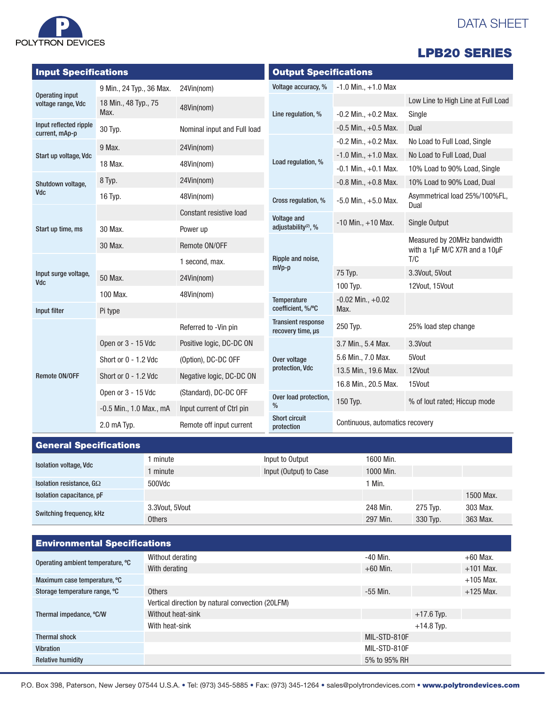# DATA SHEET



Operating input

Input Specifications

9 Min., 24 Typ., 36 Max. 24Vin(nom)

|              |                              |                          | <b>LPB20 SERIES</b>                |
|--------------|------------------------------|--------------------------|------------------------------------|
|              | <b>Output Specifications</b> |                          |                                    |
|              | Voltage accuracy, %          | $-1.0$ Min., $+1.0$ Max  |                                    |
|              |                              |                          | Low Line to High Line at Full Load |
|              | Line regulation, %           | $-0.2$ Min., $+0.2$ Max. | Single                             |
| าd Full load |                              | $-0.5$ Min., $+0.5$ Max. | Dual                               |
|              |                              | $-0.2$ Min. $+0.2$ Max.  | No Load to Full Load, Single       |

| voltage range, Vdc                       | 18 Min., 48 Typ., 75                                  | 48Vin(nom)                                   |                                                |                                 | Low Line to High Line at Full Load                           |  |
|------------------------------------------|-------------------------------------------------------|----------------------------------------------|------------------------------------------------|---------------------------------|--------------------------------------------------------------|--|
|                                          | Max.                                                  |                                              | Line regulation, %                             | $-0.2$ Min., $+0.2$ Max.        | Single                                                       |  |
| Input reflected ripple<br>current, mAp-p | 30 Typ.                                               | Nominal input and Full load                  |                                                | $-0.5$ Min., $+0.5$ Max.        | Dual                                                         |  |
|                                          | 9 Max.<br>24Vin(nom)                                  |                                              |                                                | $-0.2$ Min., $+0.2$ Max.        | No Load to Full Load, Single                                 |  |
| Start up voltage, Vdc                    | 18 Max.                                               | 48Vin(nom)                                   | Load regulation, %                             | $-1.0$ Min., $+1.0$ Max.        | No Load to Full Load, Dual                                   |  |
|                                          |                                                       |                                              |                                                | $-0.1$ Min., $+0.1$ Max.        | 10% Load to 90% Load, Single                                 |  |
| Shutdown voltage,                        | 8 Typ.                                                | 24Vin(nom)                                   |                                                | $-0.8$ Min., $+0.8$ Max.        | 10% Load to 90% Load, Dual                                   |  |
| <b>Vdc</b>                               | 16 Typ.                                               | 48Vin(nom)                                   | Cross regulation, %                            | $-5.0$ Min., $+5.0$ Max.        | Asymmetrical load 25%/100%FL,<br>Dual                        |  |
|                                          |                                                       | Constant resistive load                      | Voltage and                                    |                                 | Single Output                                                |  |
| Start up time, ms                        | 30 Max.                                               | adjustability <sup>(2)</sup> , %<br>Power up |                                                | $-10$ Min., $+10$ Max.          |                                                              |  |
|                                          | 30 Max.                                               | Remote ON/OFF                                |                                                |                                 | Measured by 20MHz bandwidth<br>with a 1µF M/C X7R and a 10µF |  |
| Input surge voltage,<br><b>Vdc</b>       |                                                       | 1 second, max.                               | Ripple and noise,<br>$mVp-p$                   |                                 | T/C                                                          |  |
|                                          | 50 Max.                                               | 24Vin(nom)                                   |                                                | 75 Typ.                         | 3.3Vout, 5Vout                                               |  |
|                                          | 100 Max.                                              |                                              |                                                | 100 Typ.                        | 12Vout, 15Vout                                               |  |
|                                          |                                                       | 48Vin(nom)                                   | Temperature                                    | $-0.02$ Min., $+0.02$           |                                                              |  |
| Input filter                             | Pi type                                               |                                              | coefficient, %/°C                              | Max.                            |                                                              |  |
|                                          |                                                       | Referred to -Vin pin                         | <b>Transient response</b><br>recovery time, µs | 250 Typ.                        | 25% load step change                                         |  |
|                                          | Open or 3 - 15 Vdc                                    | Positive logic, DC-DC ON                     |                                                | 3.7 Min., 5.4 Max.              | 3.3Vout                                                      |  |
| Remote ON/OFF                            | Short or 0 - 1.2 Vdc                                  | (Option), DC-DC OFF                          | Over voltage                                   | 5.6 Min., 7.0 Max.              | 5Vout                                                        |  |
|                                          | Short or 0 - 1.2 Vdc                                  | Negative logic, DC-DC ON                     | protection, Vdc                                | 13.5 Min., 19.6 Max.            | 12Vout                                                       |  |
|                                          | Open or 3 - 15 Vdc                                    | (Standard), DC-DC OFF                        |                                                | 16.8 Min., 20.5 Max.            | 15Vout                                                       |  |
|                                          |                                                       |                                              | Over load protection,<br>%                     | 150 Typ.                        | % of lout rated; Hiccup mode                                 |  |
|                                          | $-0.5$ Min., 1.0 Max., mA                             | Input current of Ctrl pin                    | <b>Short circuit</b>                           |                                 |                                                              |  |
|                                          | 2.0 mA Typ.<br>Remote off input current<br>protection |                                              |                                                | Continuous, automatics recovery |                                                              |  |

| <b>General Specifications</b>   |                |                        |           |          |           |
|---------------------------------|----------------|------------------------|-----------|----------|-----------|
| <b>Isolation voltage, Vdc</b>   | minute         | Input to Output        | 1600 Min. |          |           |
|                                 | minute         | Input (Output) to Case | 1000 Min. |          |           |
| Isolation resistance, $G\Omega$ | 500Vdc         |                        | Min.      |          |           |
| Isolation capacitance, pF       |                |                        |           |          | 1500 Max. |
| Switching frequency, kHz        | 3.3Vout, 5Vout |                        | 248 Min.  | 275 Typ. | 303 Max.  |
|                                 | <b>Others</b>  |                        | 297 Min.  | 330 Typ. | 363 Max.  |

| <b>Environmental Specifications</b> |                                                  |              |              |             |  |
|-------------------------------------|--------------------------------------------------|--------------|--------------|-------------|--|
| Operating ambient temperature, °C   | Without derating                                 | $-40$ Min.   |              | $+60$ Max.  |  |
|                                     | With derating                                    | $+60$ Min.   |              | $+101$ Max. |  |
| Maximum case temperature, °C        |                                                  |              |              | $+105$ Max. |  |
| Storage temperature range, °C       | <b>Others</b>                                    | $-55$ Min.   |              | $+125$ Max. |  |
|                                     | Vertical direction by natural convection (20LFM) |              |              |             |  |
| Thermal impedance, °C/W             | Without heat-sink                                |              | $+17.6$ Typ. |             |  |
|                                     | With heat-sink                                   |              | $+14.8$ Typ. |             |  |
| <b>Thermal shock</b>                |                                                  | MIL-STD-810F |              |             |  |
| <b>Vibration</b>                    |                                                  | MIL-STD-810F |              |             |  |
| <b>Relative humidity</b>            |                                                  | 5% to 95% RH |              |             |  |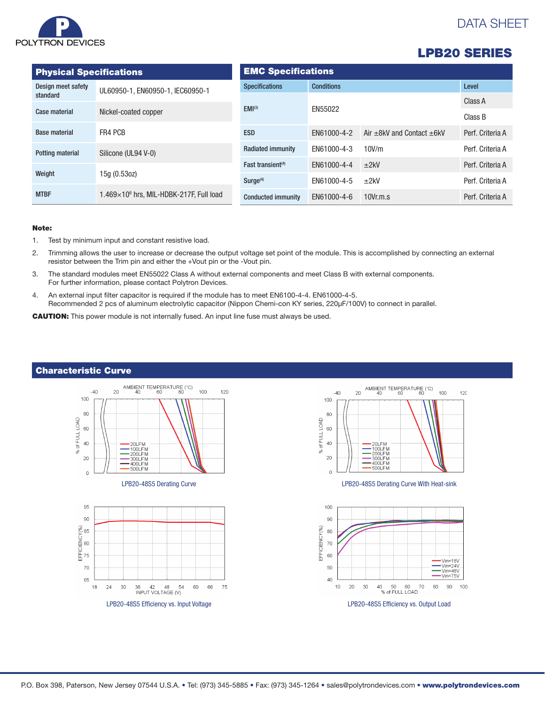

# DATA SHEET

| <b>LPB20 SERIES</b> |
|---------------------|
|---------------------|

| <b>Physical Specifications</b> |                                                 | <b>EMC Specifications</b>     |                   |                                     |                  |  |
|--------------------------------|-------------------------------------------------|-------------------------------|-------------------|-------------------------------------|------------------|--|
| Design meet safety             | UL60950-1, EN60950-1, IEC60950-1                | <b>Specifications</b>         | <b>Conditions</b> | Level                               |                  |  |
| standard                       |                                                 | EMI <sup>(3)</sup>            | EN55022           |                                     | Class A          |  |
| Case material                  | Nickel-coated copper                            |                               |                   |                                     | Class B          |  |
| <b>Base material</b>           | FR4 PCB                                         | <b>ESD</b>                    | EN61000-4-2       | Air $\pm$ 8kV and Contact $\pm$ 6kV | Perf. Criteria A |  |
| Potting material               | Silicone (UL94 V-0)                             | <b>Radiated immunity</b>      | EN61000-4-3       | 10V/m                               | Perf. Criteria A |  |
|                                |                                                 | Fast transient <sup>(4)</sup> | EN61000-4-4       | ±2kV                                | Perf. Criteria A |  |
| Weight                         | 15g (0.53oz)                                    | Surge <sup>(4)</sup>          | EN61000-4-5       | ±2kV                                | Perf. Criteria A |  |
| <b>MTBF</b>                    | $1.469\times10^6$ hrs. MIL-HDBK-217F. Full load | <b>Conducted immunity</b>     | EN61000-4-6       | 10Vr.m.s                            | Perf. Criteria A |  |

#### Note:

- 1. Test by minimum input and constant resistive load.
- 2. Trimming allows the user to increase or decrease the output voltage set point of the module. This is accomplished by connecting an external resistor between the Trim pin and either the +Vout pin or the -Vout pin.
- 3. The standard modules meet EN55022 Class A without external components and meet Class B with external components. For further information, please contact Polytron Devices.
- 4. An external input filter capacitor is required if the module has to meet EN6100-4-4. EN61000-4-5. Recommended 2 pcs of aluminum electrolytic capacitor (Nippon Chemi-con KY series, 220μF/100V) to connect in parallel.

CAUTION: This power module is not internally fused. An input line fuse must always be used.



### Characteristic Curve